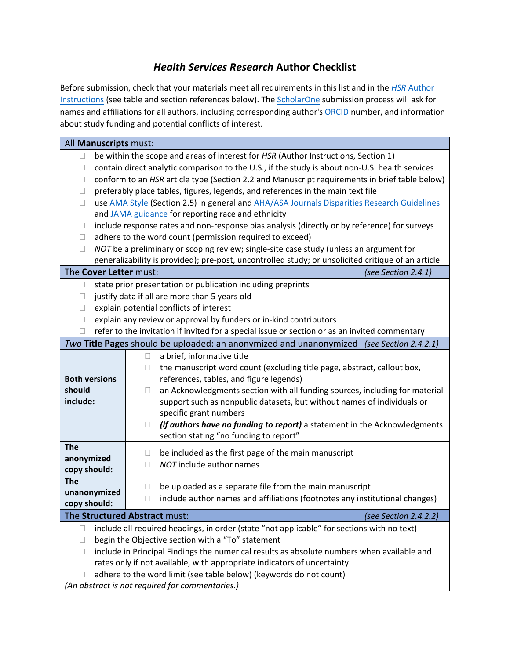## *Health Services Research* **Author Checklist**

Before submission, check that your materials meet all requirements in this list and in the *HSR* [Author](https://www.hsr.org/authors)  [Instructions](https://www.hsr.org/authors) (see table and section references below). The **ScholarOne** submission process will ask for names and affiliations for all authors, including corresponding author's [ORCID](https://orcid.org/) number, and information about study funding and potential conflicts of interest.

| All Manuscripts must:                                                                                   |                                                                                                |  |  |  |  |  |  |
|---------------------------------------------------------------------------------------------------------|------------------------------------------------------------------------------------------------|--|--|--|--|--|--|
| $\Box$                                                                                                  |                                                                                                |  |  |  |  |  |  |
|                                                                                                         | be within the scope and areas of interest for HSR (Author Instructions, Section 1)             |  |  |  |  |  |  |
| $\Box$                                                                                                  | contain direct analytic comparison to the U.S., if the study is about non-U.S. health services |  |  |  |  |  |  |
| conform to an HSR article type (Section 2.2 and Manuscript requirements in brief table below)<br>$\Box$ |                                                                                                |  |  |  |  |  |  |
| preferably place tables, figures, legends, and references in the main text file<br>$\Box$               |                                                                                                |  |  |  |  |  |  |
| use AMA Style (Section 2.5) in general and AHA/ASA Journals Disparities Research Guidelines<br>$\Box$   |                                                                                                |  |  |  |  |  |  |
| and JAMA guidance for reporting race and ethnicity                                                      |                                                                                                |  |  |  |  |  |  |
| $\Box$                                                                                                  | include response rates and non-response bias analysis (directly or by reference) for surveys   |  |  |  |  |  |  |
|                                                                                                         | adhere to the word count (permission required to exceed)<br>$\Box$                             |  |  |  |  |  |  |
| NOT be a preliminary or scoping review; single-site case study (unless an argument for<br>П             |                                                                                                |  |  |  |  |  |  |
| generalizability is provided); pre-post, uncontrolled study; or unsolicited critique of an article      |                                                                                                |  |  |  |  |  |  |
| The Cover Letter must:                                                                                  | (see Section 2.4.1)                                                                            |  |  |  |  |  |  |
| state prior presentation or publication including preprints<br>$\Box$                                   |                                                                                                |  |  |  |  |  |  |
| justify data if all are more than 5 years old<br>$\Box$                                                 |                                                                                                |  |  |  |  |  |  |
| explain potential conflicts of interest<br>П                                                            |                                                                                                |  |  |  |  |  |  |
| $\Box$                                                                                                  | explain any review or approval by funders or in-kind contributors                              |  |  |  |  |  |  |
| Ш                                                                                                       | refer to the invitation if invited for a special issue or section or as an invited commentary  |  |  |  |  |  |  |
|                                                                                                         | Two Title Pages should be uploaded: an anonymized and unanonymized (see Section 2.4.2.1)       |  |  |  |  |  |  |
|                                                                                                         | a brief, informative title<br>$\Box$                                                           |  |  |  |  |  |  |
|                                                                                                         | the manuscript word count (excluding title page, abstract, callout box,<br>$\Box$              |  |  |  |  |  |  |
| <b>Both versions</b>                                                                                    | references, tables, and figure legends)                                                        |  |  |  |  |  |  |
| should                                                                                                  | an Acknowledgments section with all funding sources, including for material<br>$\Box$          |  |  |  |  |  |  |
| include:                                                                                                |                                                                                                |  |  |  |  |  |  |
|                                                                                                         | support such as nonpublic datasets, but without names of individuals or                        |  |  |  |  |  |  |
|                                                                                                         | specific grant numbers                                                                         |  |  |  |  |  |  |
|                                                                                                         | (if authors have no funding to report) a statement in the Acknowledgments<br>$\Box$            |  |  |  |  |  |  |
|                                                                                                         | section stating "no funding to report"                                                         |  |  |  |  |  |  |
| <b>The</b>                                                                                              | be included as the first page of the main manuscript<br>$\Box$                                 |  |  |  |  |  |  |
| anonymized<br>copy should:                                                                              | NOT include author names<br>$\Box$                                                             |  |  |  |  |  |  |
| <b>The</b>                                                                                              |                                                                                                |  |  |  |  |  |  |
| unanonymized                                                                                            | be uploaded as a separate file from the main manuscript<br>$\Box$                              |  |  |  |  |  |  |
| copy should:                                                                                            | include author names and affiliations (footnotes any institutional changes)<br>$\Box$          |  |  |  |  |  |  |
|                                                                                                         |                                                                                                |  |  |  |  |  |  |
| The Structured Abstract must:<br>(see Section 2.4.2.2)                                                  |                                                                                                |  |  |  |  |  |  |
| include all required headings, in order (state "not applicable" for sections with no text)<br>$\Box$    |                                                                                                |  |  |  |  |  |  |
| begin the Objective section with a "To" statement<br>$\Box$                                             |                                                                                                |  |  |  |  |  |  |
| include in Principal Findings the numerical results as absolute numbers when available and<br>$\Box$    |                                                                                                |  |  |  |  |  |  |
| rates only if not available, with appropriate indicators of uncertainty                                 |                                                                                                |  |  |  |  |  |  |
| adhere to the word limit (see table below) (keywords do not count)<br>$\Box$                            |                                                                                                |  |  |  |  |  |  |
| (An abstract is not required for commentaries.)                                                         |                                                                                                |  |  |  |  |  |  |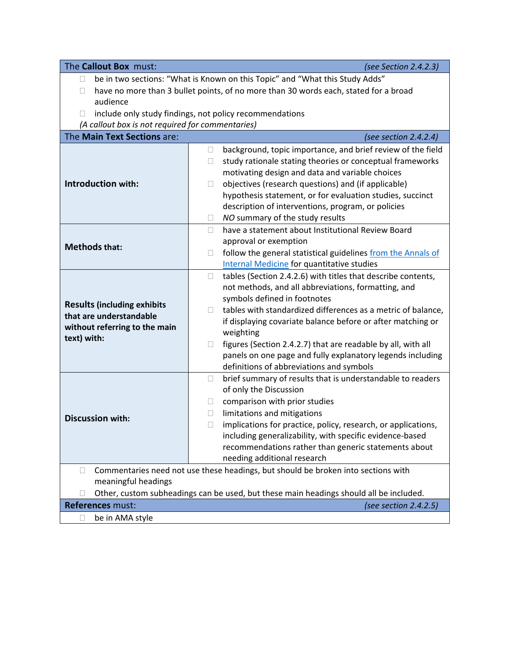The **Callout Box** must: *(see Section 2.4.2.3)*  $\Box$  be in two sections: "What is Known on this Topic" and "What this Study Adds"  $\Box$  have no more than 3 bullet points, of no more than 30 words each, stated for a broad audience  $\Box$  include only study findings, not policy recommendations *(A callout box is not required for commentaries)* The **Main Text Sections** are: *(see section 2.4.2.4)* **Introduction with:**  $\Box$  background, topic importance, and brief review of the field  $\Box$  study rationale stating theories or conceptual frameworks motivating design and data and variable choices  $\Box$  objectives (research questions) and (if applicable) hypothesis statement, or for evaluation studies, succinct description of interventions, program, or policies *NO* summary of the study results **Methods that:**  $\Box$  have a statement about Institutional Review Board approval or exemption  $\Box$  follow the general statistical guidelines from the Annals of [Internal Medicine](https://www.acpjournals.org/journal/aim/authors/statistical-guidance) for quantitative studies **Results (including exhibits that are understandable without referring to the main text) with:**  $\Box$  tables (Section 2.4.2.6) with titles that describe contents, not methods, and all abbreviations, formatting, and symbols defined in footnotes  $\Box$  tables with standardized differences as a metric of balance, if displaying covariate balance before or after matching or weighting  $\Box$  figures (Section 2.4.2.7) that are readable by all, with all panels on one page and fully explanatory legends including definitions of abbreviations and symbols **Discussion with:**  $\Box$  brief summary of results that is understandable to readers of only the Discussion  $\Box$  comparison with prior studies  $\Box$  limitations and mitigations  $\Box$  implications for practice, policy, research, or applications, including generalizability, with specific evidence-based recommendations rather than generic statements about needing additional research  $\Box$  Commentaries need not use these headings, but should be broken into sections with meaningful headings Other, custom subheadings can be used, but these main headings should all be included. **References** must: *(see section 2.4.2.5)* □ be in AMA style